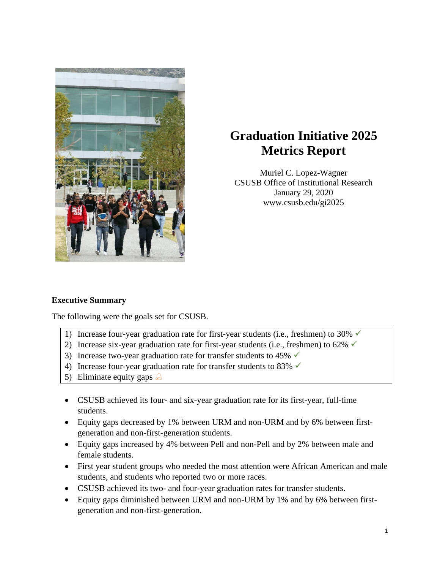

# **Graduation Initiative 2025 Metrics Report**

Muriel C. Lopez-Wagner CSUSB Office of Institutional Research January 29, 2020 www.csusb.edu/gi2025

# **Executive Summary**

The following were the goals set for CSUSB.

- 1) Increase four-year graduation rate for first-year students (i.e., freshmen) to 30%  $\checkmark$
- 2) Increase six-year graduation rate for first-year students (i.e., freshmen) to 62%  $\checkmark$
- 3) Increase two-year graduation rate for transfer students to 45%  $\checkmark$
- 4) Increase four-year graduation rate for transfer students to 83%  $\checkmark$
- 5) Eliminate equity gaps  $\triangle$
- CSUSB achieved its four- and six-year graduation rate for its first-year, full-time students.
- Equity gaps decreased by 1% between URM and non-URM and by 6% between firstgeneration and non-first-generation students.
- Equity gaps increased by 4% between Pell and non-Pell and by 2% between male and female students.
- First year student groups who needed the most attention were African American and male students, and students who reported two or more races.
- CSUSB achieved its two- and four-year graduation rates for transfer students.
- Equity gaps diminished between URM and non-URM by 1% and by 6% between firstgeneration and non-first-generation.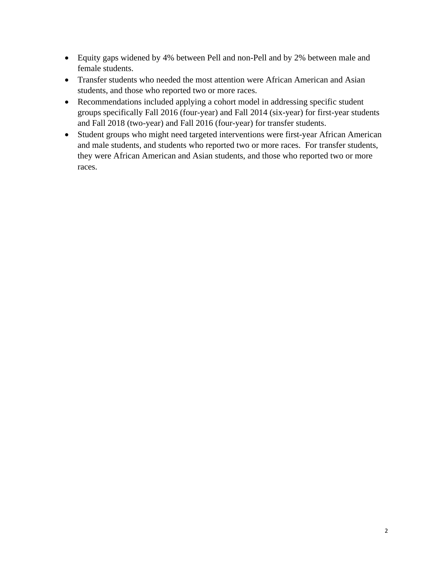- Equity gaps widened by 4% between Pell and non-Pell and by 2% between male and female students.
- Transfer students who needed the most attention were African American and Asian students, and those who reported two or more races.
- Recommendations included applying a cohort model in addressing specific student groups specifically Fall 2016 (four-year) and Fall 2014 (six-year) for first-year students and Fall 2018 (two-year) and Fall 2016 (four-year) for transfer students.
- Student groups who might need targeted interventions were first-year African American and male students, and students who reported two or more races. For transfer students, they were African American and Asian students, and those who reported two or more races.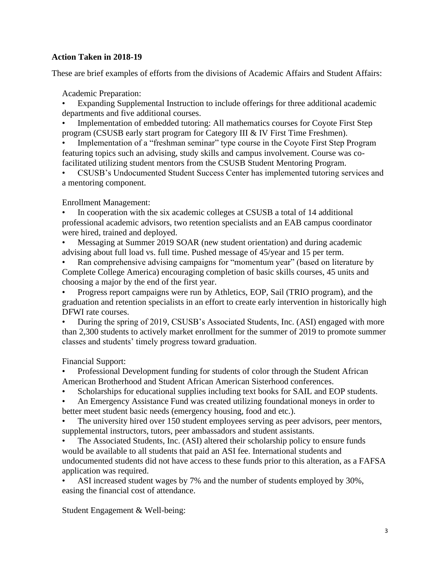# **Action Taken in 2018-19**

These are brief examples of efforts from the divisions of Academic Affairs and Student Affairs:

Academic Preparation:

• Expanding Supplemental Instruction to include offerings for three additional academic departments and five additional courses.

• Implementation of embedded tutoring: All mathematics courses for Coyote First Step program (CSUSB early start program for Category III & IV First Time Freshmen).

Implementation of a "freshman seminar" type course in the Coyote First Step Program featuring topics such an advising, study skills and campus involvement. Course was cofacilitated utilizing student mentors from the CSUSB Student Mentoring Program.

• CSUSB's Undocumented Student Success Center has implemented tutoring services and a mentoring component.

Enrollment Management:

• In cooperation with the six academic colleges at CSUSB a total of 14 additional professional academic advisors, two retention specialists and an EAB campus coordinator were hired, trained and deployed.

• Messaging at Summer 2019 SOAR (new student orientation) and during academic advising about full load vs. full time. Pushed message of 45/year and 15 per term.

• Ran comprehensive advising campaigns for "momentum year" (based on literature by Complete College America) encouraging completion of basic skills courses, 45 units and choosing a major by the end of the first year.

• Progress report campaigns were run by Athletics, EOP, Sail (TRIO program), and the graduation and retention specialists in an effort to create early intervention in historically high DFWI rate courses.

• During the spring of 2019, CSUSB's Associated Students, Inc. (ASI) engaged with more than 2,300 students to actively market enrollment for the summer of 2019 to promote summer classes and students' timely progress toward graduation.

Financial Support:

• Professional Development funding for students of color through the Student African American Brotherhood and Student African American Sisterhood conferences.

Scholarships for educational supplies including text books for SAIL and EOP students.

• An Emergency Assistance Fund was created utilizing foundational moneys in order to better meet student basic needs (emergency housing, food and etc.).

The university hired over 150 student employees serving as peer advisors, peer mentors, supplemental instructors, tutors, peer ambassadors and student assistants.

• The Associated Students, Inc. (ASI) altered their scholarship policy to ensure funds would be available to all students that paid an ASI fee. International students and undocumented students did not have access to these funds prior to this alteration, as a FAFSA application was required.

• ASI increased student wages by 7% and the number of students employed by 30%, easing the financial cost of attendance.

Student Engagement & Well-being: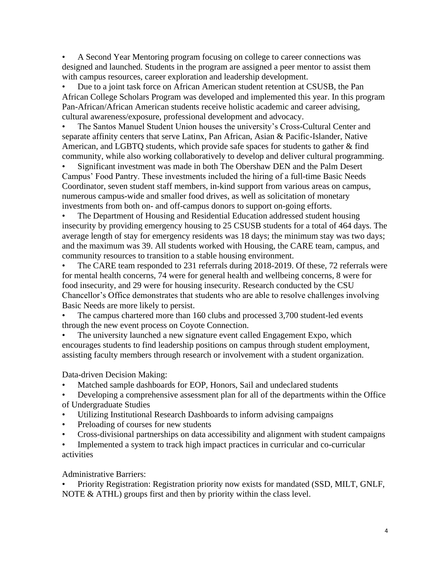• A Second Year Mentoring program focusing on college to career connections was designed and launched. Students in the program are assigned a peer mentor to assist them with campus resources, career exploration and leadership development.

• Due to a joint task force on African American student retention at CSUSB, the Pan African College Scholars Program was developed and implemented this year. In this program Pan-African/African American students receive holistic academic and career advising, cultural awareness/exposure, professional development and advocacy.

• The Santos Manuel Student Union houses the university's Cross-Cultural Center and separate affinity centers that serve Latinx, Pan African, Asian & Pacific-Islander, Native American, and LGBTQ students, which provide safe spaces for students to gather & find community, while also working collaboratively to develop and deliver cultural programming.

• Significant investment was made in both The Obershaw DEN and the Palm Desert Campus' Food Pantry. These investments included the hiring of a full-time Basic Needs Coordinator, seven student staff members, in-kind support from various areas on campus, numerous campus-wide and smaller food drives, as well as solicitation of monetary investments from both on- and off-campus donors to support on-going efforts.

• The Department of Housing and Residential Education addressed student housing insecurity by providing emergency housing to 25 CSUSB students for a total of 464 days. The average length of stay for emergency residents was 18 days; the minimum stay was two days; and the maximum was 39. All students worked with Housing, the CARE team, campus, and community resources to transition to a stable housing environment.

The CARE team responded to 231 referrals during 2018-2019. Of these, 72 referrals were for mental health concerns, 74 were for general health and wellbeing concerns, 8 were for food insecurity, and 29 were for housing insecurity. Research conducted by the CSU Chancellor's Office demonstrates that students who are able to resolve challenges involving Basic Needs are more likely to persist.

The campus chartered more than 160 clubs and processed 3,700 student-led events through the new event process on Coyote Connection.

The university launched a new signature event called Engagement Expo, which encourages students to find leadership positions on campus through student employment, assisting faculty members through research or involvement with a student organization.

Data-driven Decision Making:

• Matched sample dashboards for EOP, Honors, Sail and undeclared students

• Developing a comprehensive assessment plan for all of the departments within the Office of Undergraduate Studies

- Utilizing Institutional Research Dashboards to inform advising campaigns
- Preloading of courses for new students
- Cross-divisional partnerships on data accessibility and alignment with student campaigns

• Implemented a system to track high impact practices in curricular and co-curricular activities

Administrative Barriers:

• Priority Registration: Registration priority now exists for mandated (SSD, MILT, GNLF, NOTE & ATHL) groups first and then by priority within the class level.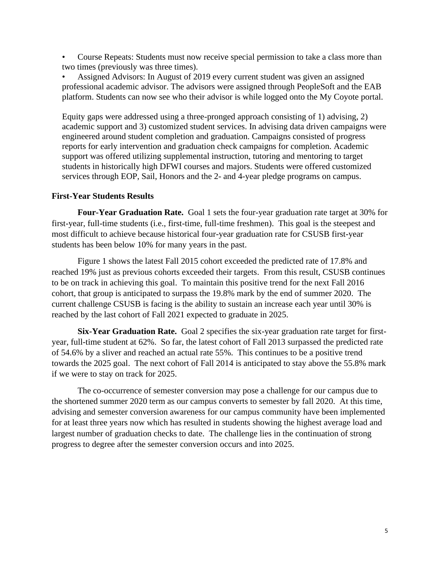• Course Repeats: Students must now receive special permission to take a class more than two times (previously was three times).

• Assigned Advisors: In August of 2019 every current student was given an assigned professional academic advisor. The advisors were assigned through PeopleSoft and the EAB platform. Students can now see who their advisor is while logged onto the My Coyote portal.

Equity gaps were addressed using a three-pronged approach consisting of 1) advising, 2) academic support and 3) customized student services. In advising data driven campaigns were engineered around student completion and graduation. Campaigns consisted of progress reports for early intervention and graduation check campaigns for completion. Academic support was offered utilizing supplemental instruction, tutoring and mentoring to target students in historically high DFWI courses and majors. Students were offered customized services through EOP, Sail, Honors and the 2- and 4-year pledge programs on campus.

#### **First-Year Students Results**

**Four-Year Graduation Rate.** Goal 1 sets the four-year graduation rate target at 30% for first-year, full-time students (i.e., first-time, full-time freshmen). This goal is the steepest and most difficult to achieve because historical four-year graduation rate for CSUSB first-year students has been below 10% for many years in the past.

Figure 1 shows the latest Fall 2015 cohort exceeded the predicted rate of 17.8% and reached 19% just as previous cohorts exceeded their targets. From this result, CSUSB continues to be on track in achieving this goal. To maintain this positive trend for the next Fall 2016 cohort, that group is anticipated to surpass the 19.8% mark by the end of summer 2020. The current challenge CSUSB is facing is the ability to sustain an increase each year until 30% is reached by the last cohort of Fall 2021 expected to graduate in 2025.

**Six-Year Graduation Rate.** Goal 2 specifies the six-year graduation rate target for firstyear, full-time student at 62%. So far, the latest cohort of Fall 2013 surpassed the predicted rate of 54.6% by a sliver and reached an actual rate 55%. This continues to be a positive trend towards the 2025 goal. The next cohort of Fall 2014 is anticipated to stay above the 55.8% mark if we were to stay on track for 2025.

The co-occurrence of semester conversion may pose a challenge for our campus due to the shortened summer 2020 term as our campus converts to semester by fall 2020. At this time, advising and semester conversion awareness for our campus community have been implemented for at least three years now which has resulted in students showing the highest average load and largest number of graduation checks to date. The challenge lies in the continuation of strong progress to degree after the semester conversion occurs and into 2025.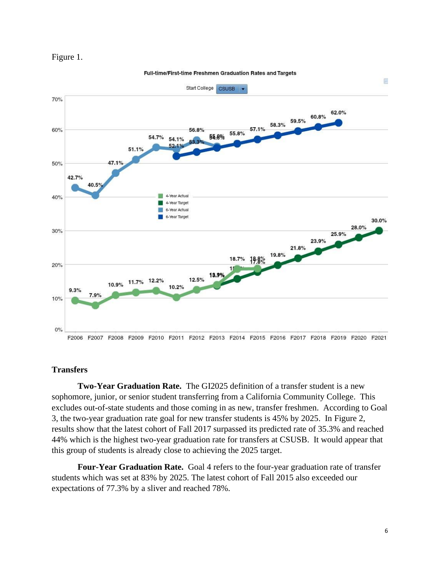



Full-time/First-time Freshmen Graduation Rates and Targets

## **Transfers**

**Two-Year Graduation Rate.** The GI2025 definition of a transfer student is a new sophomore, junior, or senior student transferring from a California Community College. This excludes out-of-state students and those coming in as new, transfer freshmen. According to Goal 3, the two-year graduation rate goal for new transfer students is 45% by 2025. In Figure 2, results show that the latest cohort of Fall 2017 surpassed its predicted rate of 35.3% and reached 44% which is the highest two-year graduation rate for transfers at CSUSB. It would appear that this group of students is already close to achieving the 2025 target.

**Four-Year Graduation Rate.** Goal 4 refers to the four-year graduation rate of transfer students which was set at 83% by 2025. The latest cohort of Fall 2015 also exceeded our expectations of 77.3% by a sliver and reached 78%.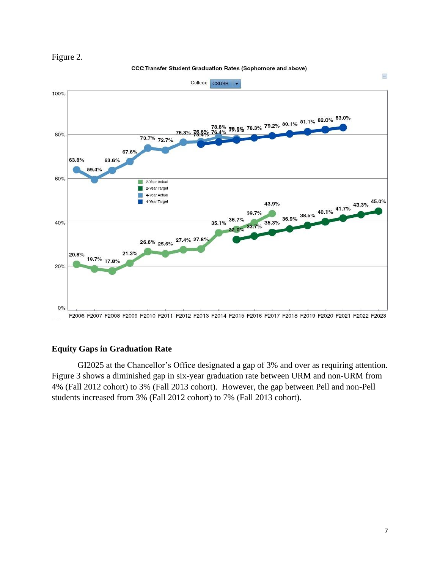

**CCC Transfer Student Graduation Rates (Sophomore and above)** 



### **Equity Gaps in Graduation Rate**

GI2025 at the Chancellor's Office designated a gap of 3% and over as requiring attention. Figure 3 shows a diminished gap in six-year graduation rate between URM and non-URM from 4% (Fall 2012 cohort) to 3% (Fall 2013 cohort). However, the gap between Pell and non-Pell students increased from 3% (Fall 2012 cohort) to 7% (Fall 2013 cohort).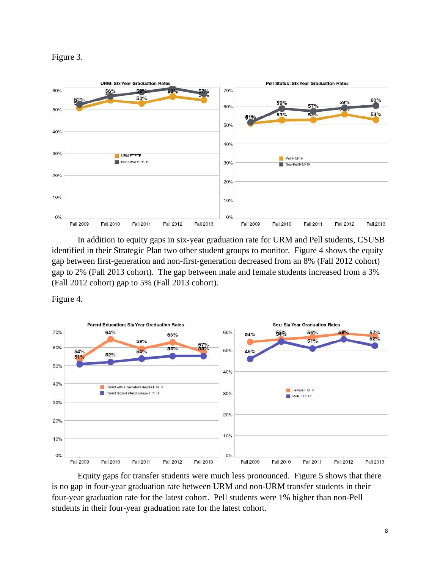



In addition to equity gaps in six-year graduation rate for URM and Pell students, CSUSB identified in their Strategic Plan two other student groups to monitor. Figure 4 shows the equity gap between first-generation and non-first-generation decreased from an 8% (Fall 2012 cohort) gap to 2% (Fall 2013 cohort). The gap between male and female students increased from a 3% (Fall 2012 cohort) gap to 5% (Fall 2013 cohort).

Figure 4.



Equity gaps for transfer students were much less pronounced. Figure 5 shows that there is no gap in four-year graduation rate between URM and non-URM transfer students in their four-year graduation rate for the latest cohort. Pell students were 1% higher than non-Pell students in their four-year graduation rate for the latest cohort.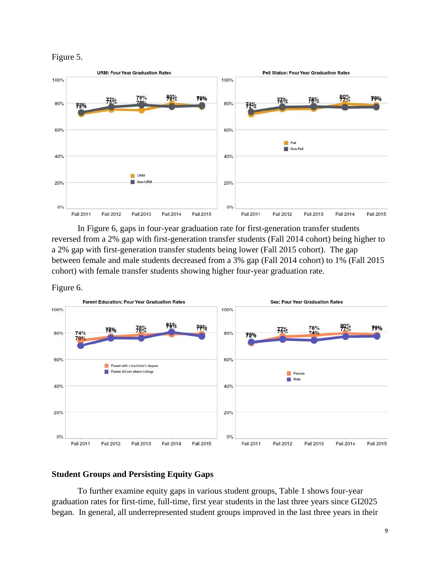



In Figure 6, gaps in four-year graduation rate for first-generation transfer students reversed from a 2% gap with first-generation transfer students (Fall 2014 cohort) being higher to a 2% gap with first-generation transfer students being lower (Fall 2015 cohort). The gap between female and male students decreased from a 3% gap (Fall 2014 cohort) to 1% (Fall 2015 cohort) with female transfer students showing higher four-year graduation rate.





#### **Student Groups and Persisting Equity Gaps**

To further examine equity gaps in various student groups, Table 1 shows four-year graduation rates for first-time, full-time, first year students in the last three years since GI2025 began. In general, all underrepresented student groups improved in the last three years in their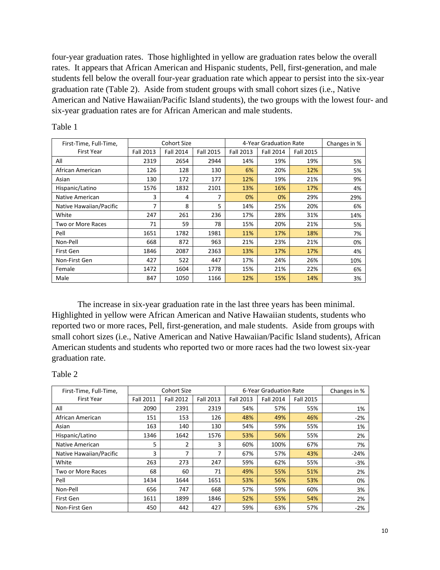four-year graduation rates. Those highlighted in yellow are graduation rates below the overall rates. It appears that African American and Hispanic students, Pell, first-generation, and male students fell below the overall four-year graduation rate which appear to persist into the six-year graduation rate (Table 2). Aside from student groups with small cohort sizes (i.e., Native American and Native Hawaiian/Pacific Island students), the two groups with the lowest four- and six-year graduation rates are for African American and male students.

| First-Time, Full-Time,  |                  | <b>Cohort Size</b> |                  |                  | 4-Year Graduation Rate |                  |     |
|-------------------------|------------------|--------------------|------------------|------------------|------------------------|------------------|-----|
| First Year              | <b>Fall 2013</b> | <b>Fall 2014</b>   | <b>Fall 2015</b> | <b>Fall 2013</b> | <b>Fall 2014</b>       | <b>Fall 2015</b> |     |
| All                     | 2319             | 2654               | 2944             | 14%              | 19%                    | 19%              | 5%  |
| African American        | 126              | 128                | 130              | 6%               | 20%                    | 12%              | 5%  |
| Asian                   | 130              | 172                | 177              | 12%              | 19%                    | 21%              | 9%  |
| Hispanic/Latino         | 1576             | 1832               | 2101             | 13%              | 16%                    | 17%              | 4%  |
| Native American         | 3                | 4                  | 7                | 0%               | 0%                     | 29%              | 29% |
| Native Hawaiian/Pacific | 7                | 8                  | 5                | 14%              | 25%                    | 20%              | 6%  |
| White                   | 247              | 261                | 236              | 17%              | 28%                    | 31%              | 14% |
| Two or More Races       | 71               | 59                 | 78               | 15%              | 20%                    | 21%              | 5%  |
| Pell                    | 1651             | 1782               | 1981             | 11%              | 17%                    | 18%              | 7%  |
| Non-Pell                | 668              | 872                | 963              | 21%              | 23%                    | 21%              | 0%  |
| First Gen               | 1846             | 2087               | 2363             | 13%              | 17%                    | 17%              | 4%  |
| Non-First Gen           | 427              | 522                | 447              | 17%              | 24%                    | 26%              | 10% |
| Female                  | 1472             | 1604               | 1778             | 15%              | 21%                    | 22%              | 6%  |
| Male                    | 847              | 1050               | 1166             | 12%              | 15%                    | 14%              | 3%  |

Table 1

The increase in six-year graduation rate in the last three years has been minimal. Highlighted in yellow were African American and Native Hawaiian students, students who reported two or more races, Pell, first-generation, and male students. Aside from groups with small cohort sizes (i.e., Native American and Native Hawaiian/Pacific Island students), African American students and students who reported two or more races had the two lowest six-year graduation rate.

#### Table 2

| First-Time, Full-Time,  | Cohort Size |                  |           | 6-Year Graduation Rate | Changes in %     |                  |        |
|-------------------------|-------------|------------------|-----------|------------------------|------------------|------------------|--------|
| First Year              | Fall 2011   | <b>Fall 2012</b> | Fall 2013 | <b>Fall 2013</b>       | <b>Fall 2014</b> | <b>Fall 2015</b> |        |
| All                     | 2090        | 2391             | 2319      | 54%                    | 57%              | 55%              | 1%     |
| African American        | 151         | 153              | 126       | 48%                    | 49%              | 46%              | $-2%$  |
| Asian                   | 163         | 140              | 130       | 54%                    | 59%              | 55%              | 1%     |
| Hispanic/Latino         | 1346        | 1642             | 1576      | 53%                    | 56%              | 55%              | 2%     |
| Native American         | 5           | 2                | 3         | 60%                    | 100%             | 67%              | 7%     |
| Native Hawaiian/Pacific | 3           | 7                | 7         | 67%                    | 57%              | 43%              | $-24%$ |
| White                   | 263         | 273              | 247       | 59%                    | 62%              | 55%              | $-3%$  |
| Two or More Races       | 68          | 60               | 71        | 49%                    | 55%              | 51%              | 2%     |
| Pell                    | 1434        | 1644             | 1651      | 53%                    | 56%              | 53%              | 0%     |
| Non-Pell                | 656         | 747              | 668       | 57%                    | 59%              | 60%              | 3%     |
| First Gen               | 1611        | 1899             | 1846      | 52%                    | 55%              | 54%              | 2%     |
| Non-First Gen           | 450         | 442              | 427       | 59%                    | 63%              | 57%              | $-2%$  |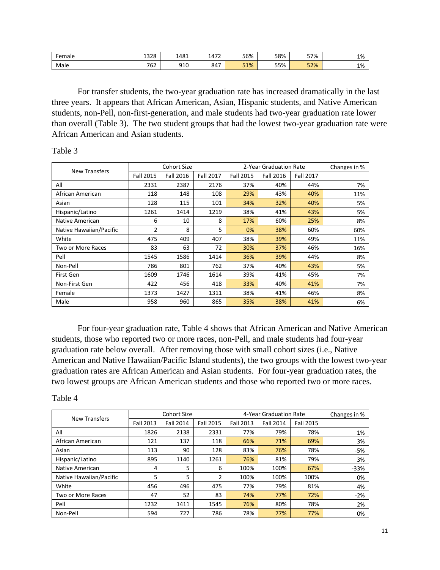| Female | 1 2 2 0<br>1328         | 1481 | 1472 | 56% | 58% | 57% | 1% |
|--------|-------------------------|------|------|-----|-----|-----|----|
| Male   | $\neg \sim \neg$<br>′∪Z | 910  | 847  | 51% | 55% | 52% | 1% |

For transfer students, the two-year graduation rate has increased dramatically in the last three years. It appears that African American, Asian, Hispanic students, and Native American students, non-Pell, non-first-generation, and male students had two-year graduation rate lower than overall (Table 3). The two student groups that had the lowest two-year graduation rate were African American and Asian students.

#### Table 3

|                         |                  | <b>Cohort Size</b> |                  | 2-Year Graduation Rate |           |           | Changes in % |
|-------------------------|------------------|--------------------|------------------|------------------------|-----------|-----------|--------------|
| <b>New Transfers</b>    | <b>Fall 2015</b> | <b>Fall 2016</b>   | <b>Fall 2017</b> | <b>Fall 2015</b>       | Fall 2016 | Fall 2017 |              |
| All                     | 2331             | 2387               | 2176             | 37%                    | 40%       | 44%       | 7%           |
| African American        | 118              | 148                | 108              | 29%                    | 43%       | 40%       | 11%          |
| Asian                   | 128              | 115                | 101              | 34%                    | 32%       | 40%       | 5%           |
| Hispanic/Latino         | 1261             | 1414               | 1219             | 38%                    | 41%       | 43%       | 5%           |
| Native American         | 6                | 10                 | 8                | 17%                    | 60%       | 25%       | 8%           |
| Native Hawaiian/Pacific | 2                | 8                  | 5                | 0%                     | 38%       | 60%       | 60%          |
| White                   | 475              | 409                | 407              | 38%                    | 39%       | 49%       | 11%          |
| Two or More Races       | 83               | 63                 | 72               | 30%                    | 37%       | 46%       | 16%          |
| Pell                    | 1545             | 1586               | 1414             | 36%                    | 39%       | 44%       | 8%           |
| Non-Pell                | 786              | 801                | 762              | 37%                    | 40%       | 43%       | 5%           |
| First Gen               | 1609             | 1746               | 1614             | 39%                    | 41%       | 45%       | 7%           |
| Non-First Gen           | 422              | 456                | 418              | 33%                    | 40%       | 41%       | 7%           |
| Female                  | 1373             | 1427               | 1311             | 38%                    | 41%       | 46%       | 8%           |
| Male                    | 958              | 960                | 865              | 35%                    | 38%       | 41%       | 6%           |

For four-year graduation rate, Table 4 shows that African American and Native American students, those who reported two or more races, non-Pell, and male students had four-year graduation rate below overall. After removing those with small cohort sizes (i.e., Native American and Native Hawaiian/Pacific Island students), the two groups with the lowest two-year graduation rates are African American and Asian students. For four-year graduation rates, the two lowest groups are African American students and those who reported two or more races.

#### Table 4

| New Transfers           |                  | Cohort Size      |                  | 4-Year Graduation Rate | Changes in %     |                  |        |
|-------------------------|------------------|------------------|------------------|------------------------|------------------|------------------|--------|
|                         | <b>Fall 2013</b> | <b>Fall 2014</b> | <b>Fall 2015</b> | Fall 2013              | <b>Fall 2014</b> | <b>Fall 2015</b> |        |
| All                     | 1826             | 2138             | 2331             | 77%                    | 79%              | 78%              | 1%     |
| African American        | 121              | 137              | 118              | 66%                    | 71%              | 69%              | 3%     |
| Asian                   | 113              | 90               | 128              | 83%                    | 76%              | 78%              | $-5%$  |
| Hispanic/Latino         | 895              | 1140             | 1261             | 76%                    | 81%              | 79%              | 3%     |
| Native American         | 4                | 5                | 6                | 100%                   | 100%             | 67%              | $-33%$ |
| Native Hawaiian/Pacific | 5                | 5                | 2                | 100%                   | 100%             | 100%             | 0%     |
| White                   | 456              | 496              | 475              | 77%                    | 79%              | 81%              | 4%     |
| Two or More Races       | 47               | 52               | 83               | 74%                    | 77%              | 72%              | $-2%$  |
| Pell                    | 1232             | 1411             | 1545             | 76%                    | 80%              | 78%              | 2%     |
| Non-Pell                | 594              | 727              | 786              | 78%                    | 77%              | 77%              | 0%     |